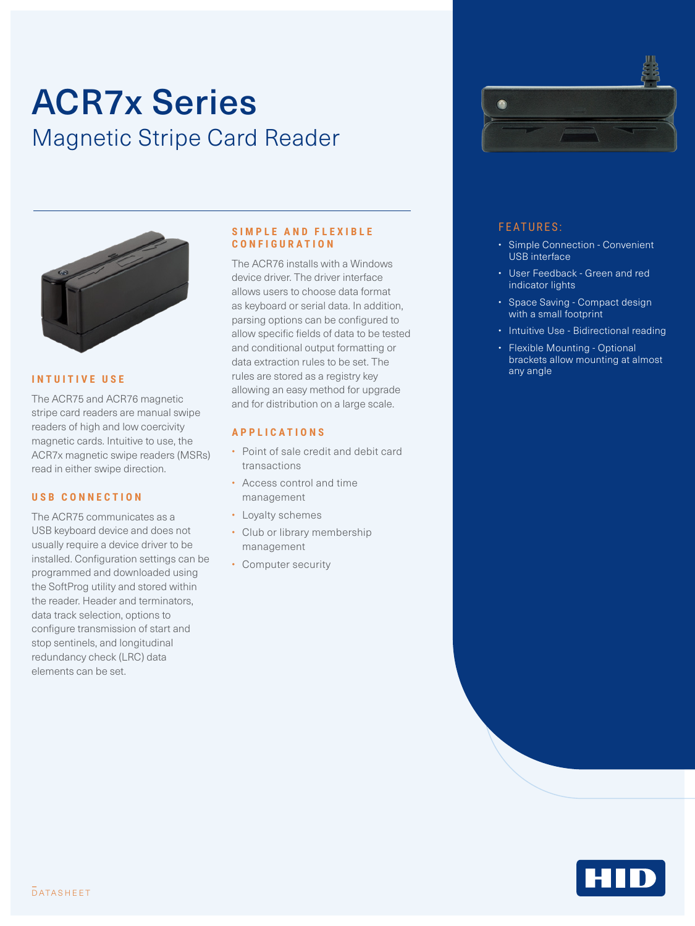# ACR7x Series Magnetic Stripe Card Reader



The ACR75 and ACR76 magnetic stripe card readers are manual swipe readers of high and low coercivity magnetic cards. Intuitive to use, the ACR7x magnetic swipe readers (MSRs) read in either swipe direction.

#### **USB CONNECTION**

The ACR75 communicates as a USB keyboard device and does not usually require a device driver to be installed. Configuration settings can be programmed and downloaded using the SoftProg utility and stored within the reader. Header and terminators, data track selection, options to configure transmission of start and stop sentinels, and longitudinal redundancy check (LRC) data elements can be set.

### **SIMPLE AND FLEXIBLE CONFIGURATION**

**INTUITIVE USE Example 20 any angle** of the state stored as a registry key **any angle** and any angle The ACR76 installs with a Windows device driver. The driver interface allows users to choose data format as keyboard or serial data. In addition, parsing options can be configured to allow specific fields of data to be tested and conditional output formatting or data extraction rules to be set. The allowing an easy method for upgrade and for distribution on a large scale.

### **APPLICATIONS**

- Point of sale credit and debit card transactions
- Access control and time management
- Loyalty schemes
- Club or library membership management
- Computer security



## FEATURES:

- Simple Connection Convenient USB interface
- User Feedback Green and red indicator lights
- Space Saving Compact design with a small footprint
- Intuitive Use Bidirectional reading
- Flexible Mounting Optional brackets allow mounting at almost